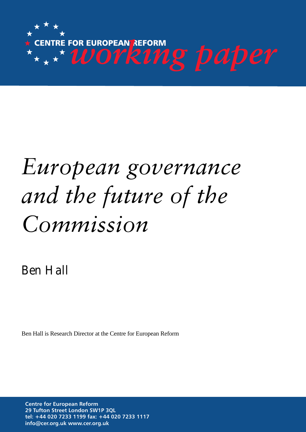

# *European governance and the future of the Commission*

Ben Hall

Ben Hall is Research Director at the Centre for European Reform

**Centre for European Reform 29 Tufton Street London SW1P 3QL tel: +44 020 7233 1199 fax: +44 020 7233 1117 info@cer.org.uk www.cer.org.uk**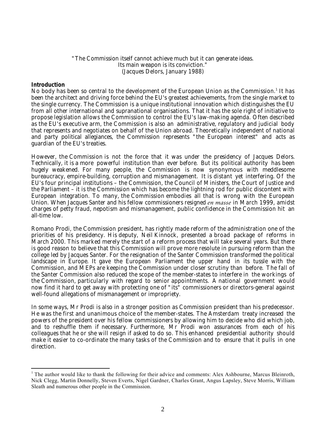# "The Commission itself cannot achieve much but it can generate ideas. Its main weapon is its conviction." (Jacques Delors, January 1988)

# **Introduction**

l

No body has been so central to the development of the European Union as the Commission.<sup>1</sup> It has been the architect and driving force behind the EU's greatest achievements, from the single market to the single currency. The Commission is a unique institutional innovation which distinguishes the EU from all other international and supranational organisations. That it has the sole right of initiative to propose legislation allows the Commission to control the EU's law-making agenda. Often described as the EU's executive arm, the Commission is also an administrative, regulatory and judicial body that represents and negotiates on behalf of the Union abroad. Theoretically independent of national and party political allegiances, the Commission represents "the European interest" and acts as guardian of the EU's treaties.

However, the Commission is not the force that it was under the presidency of Jacques Delors. Technically, it is a more powerful institution than ever before. But its political authority has been hugely weakened. For many people, the Commission is now synonymous with meddlesome bureaucracy, empire-building, corruption and mismanagement. It is distant yet interfering. Of the EU's four principal institutions – the Commission, the Council of Ministers, the Court of Justice and the Parliament – it is the Commission which has become the lightning rod for public discontent with European integration. To many, the Commission embodies all that is wrong with the European Union. When Jacques Santer and his fellow commissioners resigned *en masse* in March 1999, amidst charges of petty fraud, nepotism and mismanagement, public confidence in the Commission hit an all-time low.

Romano Prodi, the Commission president, has rightly made reform of the administration one of the priorities of his presidency. His deputy, Neil Kinnock, presented a broad package of reforms in March 2000. This marked merely the start of a reform process that will take several years. But there is good reason to believe that this Commission will prove more resolute in pursuing reform than the college led by Jacques Santer. For the resignation of the Santer Commission transformed the political landscape in Europe. It gave the European Parliament the upper hand in its tussle with the Commission, and MEPs are keeping the Commission under closer scrutiny than before. The fall of the Santer Commission also reduced the scope of the member-states to interfere in the workings of the Commission, particularly with regard to senior appointments. A national government would now find it hard to get away with protecting one of "its" commissioners or directors-general against well-found allegations of mismanagement or impropriety.

In some ways, Mr Prodi is also in a stronger position as Commission president than his predecessor. He was the first and unanimous choice of the member-states. The Amsterdam treaty increased the powers of the president over his fellow commissioners by allowing him to decide who did which job, and to reshuffle them if necessary. Furthermore, Mr Prodi won assurances from each of his colleagues that he or she will resign if asked to do so. This enhanced presidential authority should make it easier to co-ordinate the many tasks of the Commission and to ensure that it pulls in one direction.

<sup>&</sup>lt;sup>1</sup> The author would like to thank the following for their advice and comments: Alex Ashbourne, Marcus Bleinroth, Nick Clegg, Martin Donnelly, Steven Everts, Nigel Gardner, Charles Grant, Angus Lapsley, Steve Morris, William Sleath and numerous other people in the Commission.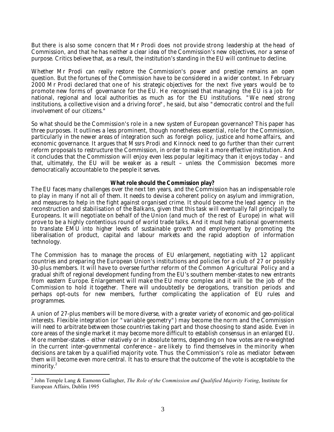But there is also some concern that Mr Prodi does not provide strong leadership at the head of Commission, and that he has neither a clear idea of the Commission's new objectives, nor a sense of purpose. Critics believe that, as a result, the institution's standing in the EU will continue to decline.

Whether Mr Prodi can really restore the Commission's power and prestige remains an open question. But the fortunes of the Commission have to be considered in a wider context. In February 2000 Mr Prodi declared that one of his strategic objectives for the next five years would be to promote new forms of governance for the EU. He recognised that managing the EU is a job for national, regional and local authorities as much as for the EU institutions. "We need strong institutions, a collective vision and a driving force", he said, but also "democratic control and the full involvement of our citizens."

So what should be the Commission's role in a new system of European governance? This paper has three purposes. It outlines a less prominent, though nonetheless essential, role for the Commission, particularly in the newer areas of integration such as foreign policy, justice and home affairs, and economic governance. It argues that Mssrs Prodi and Kinnock need to go further than their current reform proposals to restructure the Commission, in order to make it a more effective institution. And it concludes that the Commission will enjoy even less popular legitimacy than it enjoys today – and that, ultimately, the EU will be weaker as a result – unless the Commission becomes more democratically accountable to the people it serves.

# **What role should the Commission play?**

The EU faces many challenges over the next ten years, and the Commission has an indispensable role to play in many if not all of them. It needs to devise a coherent policy on asylum and immigration, and measures to help in the fight against organised crime. It should become the lead agency in the reconstruction and stabilisation of the Balkans, given that this task will eventually fall principally to Europeans. It will negotiate on behalf of the Union (and much of the rest of Europe) in what will prove to be a highly contentious round of world trade talks. And it must help national governments to translate EMU into higher levels of sustainable growth and employment by promoting the liberalisation of product, capital and labour markets and the rapid adoption of information technology.

The Commission has to manage the process of EU enlargement, negotiating with 12 applicant countries and preparing the European Union's institutions and policies for a club of 27 or possibly 30-plus members. It will have to oversee further reform of the Common Agricultural Policy and a gradual shift of regional development funding from the EU's southern member-states to new entrants from eastern Europe. Enlargement will make the EU more complex and it will be the job of the Commission to hold it together. There will undoubtedly be derogations, transition periods and perhaps opt-outs for new members, further complicating the application of EU rules and programmes.

A union of 27-plus members will be more diverse, with a greater variety of economic and geo-political interests. Flexible integration (or "variable geometry") may become the norm and the Commission will need to arbitrate between those countries taking part and those choosing to stand aside. Even in core areas of the single market it may become more difficult to establish consensus in an enlarged EU. More member-states – either relatively or in absolute terms, depending on how votes are re-weighted in the current inter-governmental conference – are likely to find themselves in the minority when decisions are taken by a qualified majority vote. Thus the Commission's role as mediator between them will become even more central. It has to ensure that the outcome of the vote is acceptable to the minority.<sup>2</sup>

<sup>2</sup> John Temple Lang & Eamonn Gallagher, *The Role of the Commission and Qualified Majority Voting*, Institute for European Affairs, Dublin 1995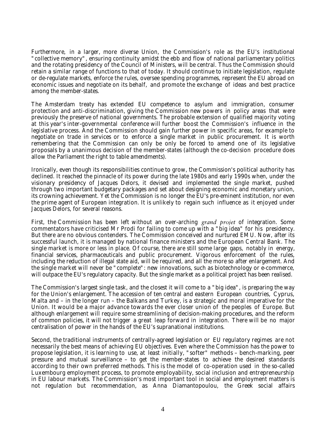Furthermore, in a larger, more diverse Union, the Commission's role as the EU's institutional "collective memory", ensuring continuity amidst the ebb and flow of national parliamentary politics and the rotating presidency of the Council of Ministers, will be central. Thus the Commission should retain a similar range of functions to that of today. It should continue to initiate legislation, regulate or de-regulate markets, enforce the rules, oversee spending programmes, represent the EU abroad on economic issues and negotiate on its behalf, and promote the exchange of ideas and best practice among the member-states.

The Amsterdam treaty has extended EU competence to asylum and immigration, consumer protection and anti-discrimination, giving the Commission new powers in policy areas that were previously the preserve of national governments. The probable extension of qualified majority voting at this year's inter-governmental conference will further boost the Commission's influence in the legislative process. And the Commission should gain further power in specific areas, for example to negotiate on trade in services or to enforce a single market in public procurement. It is worth remembering that the Commission can only be only be forced to amend one of its legislative proposals by a unanimous decision of the member-states (although the co-decision procedure does allow the Parliament the right to table amendments).

Ironically, even though its responsibilities continue to grow, the Commission's political authority has declined. It reached the pinnacle of its power during the late 1980s and early 1990s when, under the visionary presidency of Jacques Delors, it devised and implemented the single market, pushed through two important budgetary packages and set about designing economic and monetary union, its crowning achievement. Yet the Commission is no longer the EU's pre-eminent institution, nor even the prime agent of European integration. It is unlikely to regain such influence as it enjoyed under Jacques Delors, for several reasons.

First, the Commission has been left without an over-arching *grand projet* of integration. Some commentators have criticised Mr Prodi for failing to come up with a "big idea" for his presidency. But there are no obvious contenders. The Commission conceived and nurtured EMU. Now, after its successful launch, it is managed by national finance ministers and the European Central Bank. The single market is more or less in place. Of course, there are still some large gaps, notably in energy, financial services, pharmaceuticals and public procurement. Vigorous enforcement of the rules, including the reduction of illegal state aid, will be required, and all the more so after enlargement. And the single market will never be "complete": new innovations, such as biotechnology or e-commerce, will outpace the EU's regulatory capacity. But the single market as a political project has been realised.

The Commission's largest single task, and the closest it will come to a "big idea", is preparing the way for the Union's enlargement. The accession of ten central and eastern European countries, Cyprus, Malta and – in the longer run – the Balkans and Turkey, is a strategic and moral imperative for the Union. It would be a major advance towards the ever closer union of the peoples of Europe. But although enlargement will require some streamlining of decision-making procedures, and the reform of common policies, it will not trigger a great leap forward in integration. There will be no major centralisation of power in the hands of the EU's supranational institutions.

Second, the traditional instruments of centrally-agreed legislation or EU regulatory regimes are not necessarily the best means of achieving EU objectives. Even where the Commission has the power to propose legislation, it is learning to use, at least initially, "softer" methods – bench-marking, peer pressure and mutual surveillance – to get the member-states to achieve the desired standards according to their own preferred methods. This is the model of co-operation used in the so-called Luxembourg employment process, to promote employability, social inclusion and entrepreneurship in EU labour markets. The Commission's most important tool in social and employment matters is not regulation but recommendation, as Anna Diamantopoulou, the Greek social affairs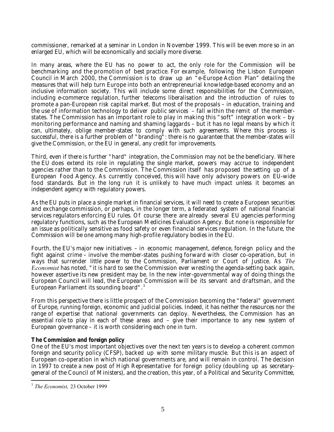commissioner, remarked at a seminar in London in November 1999. This will be even more so in an enlarged EU, which will be economically and socially more diverse.

In many areas, where the EU has no power to act, the only role for the Commission will be benchmarking and the promotion of best practice. For example, following the Lisbon European Council in March 2000, the Commission is to draw up an "e-Europe Action Plan" detailing the measures that will help turn Europe into both an entrepreneurial knowledge-based economy and an inclusive information society. This will include some direct responsibilities for the Commission, including e-commerce regulation, further telecoms liberalisation and the introduction of rules to promote a pan-European risk capital market. But most of the proposals – in education, training and the use of information technology to deliver public services – fall within the remit of the memberstates. The Commission has an important role to play in making this "soft" integration work – by monitoring performance and naming and shaming laggards – but it has no legal means by which it can, ultimately, oblige member-states to comply with such agreements. Where this process is successful, there is a further problem of "branding": there is no guarantee that the member-states will give the Commission, or the EU in general, any credit for improvements.

Third, even if there is further "hard" integration, the Commission may not be the beneficiary. Where the EU does extend its role in regulating the single market, powers may accrue to independent agencies rather than to the Commission. The Commission itself has proposed the setting up of a European Food Agency. As currently conceived, this will have only advisory powers on EU-wide food standards. But in the long run it is unlikely to have much impact unless it becomes an independent agency with regulatory powers.

As the EU puts in place a single market in financial services, it will need to create a European securities and exchange commission, or perhaps, in the longer term, a federated system of national financial services regulators enforcing EU rules. Of course there are already several EU agencies performing regulatory functions, such as the European Medicines Evaluation Agency. But none is responsible for an issue as politically sensitive as food safety or even financial services regulation. In the future, the Commission will be one among many high-profile regulatory bodies in the EU.

Fourth, the EU's major new initiatives – in economic management, defence, foreign policy and the fight against crime – involve the member-states pushing forward with closer co-operation, but in ways that surrender little power to the Commission, Parliament or Court of Justice. As *The Economist* has noted, "it is hard to see the Commission ever wresting the agenda-setting back again, however assertive its new president may be. In the new inter-governmental way of doing things the European Council will lead, the European Commission will be its servant and draftsman, and the European Parliament its sounding board".<sup>3</sup>

From this perspective there is little prospect of the Commission becoming the "federal" government of Europe, running foreign, economic and judicial policies. Indeed, it has neither the resources nor the range of expertise that national governments can deploy. Nevertheless, the Commission has an essential role to play in each of these areas and – give their importance to any new system of European governance – it is worth considering each one in turn.

# **The Commission and foreign policy**

One of the EU's most important objectives over the next ten years is to develop a coherent common foreign and security policy (CFSP), backed up with some military muscle. But this is an aspect of European co-operation in which national governments are, and will remain in control. The decision in 1997 to create a new post of High Representative for foreign policy (doubling up as secretarygeneral of the Council of Ministers), and the creation, this year, of a Political and Security Committee,

<sup>3</sup> *The Economist,* 23 October 1999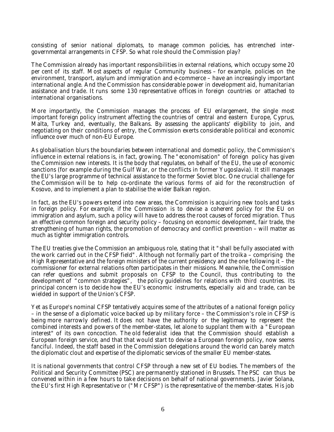consisting of senior national diplomats, to manage common policies, has entrenched intergovernmental arrangements in CFSP. So what role should the Commission play?

The Commission already has important responsibilities in external relations, which occupy some 20 per cent of its staff. Most aspects of regular Community business – for example, policies on the environment, transport, asylum and immigration and e-commerce – have an increasingly important international angle. And the Commission has considerable power in development aid, humanitarian assistance and trade. It runs some 130 representative offices in foreign countries or attached to international organisations.

More importantly, the Commission manages the process of EU enlargement, the single most important foreign policy instrument affecting the countries of central and eastern Europe, Cyprus, Malta, Turkey and, eventually, the Balkans. By assessing the applicants' eligibility to join, and negotiating on their conditions of entry, the Commission exerts considerable political and economic influence over much of non-EU Europe.

As globalisation blurs the boundaries between international and domestic policy, the Commission's influence in external relations is, in fact, growing. The "economisation" of foreign policy has given the Commission new interests. It is the body that regulates, on behalf of the EU, the use of economic sanctions (for example during the Gulf War, or the conflicts in former Yugoslavia). It still manages the EU's large programme of technical assistance to the former Soviet bloc. One crucial challenge for the Commission will be to help co-ordinate the various forms of aid for the reconstruction of Kosovo, and to implement a plan to stabilise the wider Balkan region.

In fact, as the EU's powers extend into new areas, the Commission is acquiring new tools and tasks in foreign policy. For example, if the Commission is to devise a coherent policy for the EU on immigration and asylum, such a policy will have to address the root causes of forced migration. Thus an effective common foreign and security policy – focusing on economic development, fair trade, the strengthening of human rights, the promotion of democracy and conflict prevention – will matter as much as tighter immigration controls.

The EU treaties give the Commission an ambiguous role, stating that it "shall be fully associated with the work carried out in the CFSP field". Although not formally part of the troika – comprising the High Representative and the foreign ministers of the current presidency and the one following it – the commissioner for external relations often participates in their missions. Meanwhile, the Commission can refer questions and submit proposals on CFSP to the Council, thus contributing to the development of "common strategies", the policy guidelines for relations with third countries. Its principal concern is to decide how the EU's economic instruments, especially aid and trade, can be wielded in support of the Union's CFSP.

Yet as Europe's nominal CFSP tentatively acquires some of the attributes of a national foreign policy – in the sense of a diplomatic voice backed up by military force – the Commission's role in CFSP is being more narrowly defined. It does not have the authority or the legitimacy to represent the combined interests and powers of the member-states, let alone to supplant them with a "European interest" of its own concoction. The old federalist idea that the Commission should establish a European foreign service, and that that would start to devise a European foreign policy, now seems fanciful. Indeed, the staff based in the Commission delegations around the world can barely match the diplomatic clout and expertise of the diplomatic services of the smaller EU member-states.

It is national governments that control CFSP through a new set of EU bodies. The members of the Political and Security Committee (PSC) are permanently stationed in Brussels. The PSC can thus be convened within in a few hours to take decisions on behalf of national governments. Javier Solana, the EU's first High Representative or ("Mr CFSP") is the representative of the member-states. His job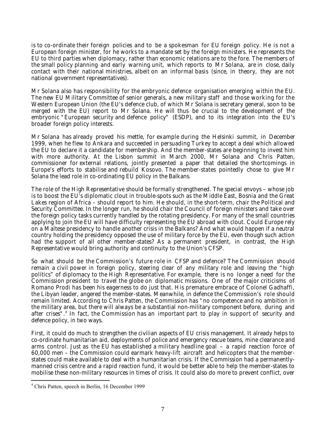is to co-ordinate their foreign policies and to be a spokesman for EU foreign policy. He is not a European foreign minister, for he works to a mandate set by the foreign ministers. He represents the EU to third parties when diplomacy, rather than economic relations are to the fore. The members of the small policy planning and early warning unit, which reports to Mr Solana, are in close, daily contact with their national ministries, albeit on an informal basis (since, in theory, they are not national government representatives).

Mr Solana also has responsibility for the embryonic defence organisation emerging within the EU. The new EU Military Committee of senior generals, a new military staff and those working for the Western European Union (the EU's defence club, of which Mr Solana is secretary general, soon to be merged with the EU) report to Mr Solana. He will thus be crucial to the development of the embryonic "European security and defence policy" (ESDP), and to its integration into the EU's broader foreign policy interests.

Mr Solana has already proved his mettle, for example during the Helsinki summit, in December 1999, when he flew to Ankara and succeeded in persuading Turkey to accept a deal which allowed the EU to declare it a candidate for membership. And the member-states are beginning to invest him with more authority. At the Lisbon summit in March 2000, Mr Solana and Chris Patten, commissioner for external relations, jointly presented a paper that detailed the shortcomings in Europe's efforts to stabilise and rebuild Kosovo. The member-states pointedly chose to give Mr Solana the lead role in co-ordinating EU policy in the Balkans.

The role of the High Representative should be formally strengthened. The special envoys – whose job is to boost the EU's diplomatic clout in trouble-spots such as the Middle East, Bosnia and the Great Lakes region of Africa – should report to him. He should, in the short-term, chair the Political and Security Committee. In the longer run, he should chair the Council of foreign ministers and take over the foreign policy tasks currently handled by the rotating presidency. For many of the small countries applying to join the EU will have difficulty representing the EU abroad with clout. Could Europe rely on a Maltese presidency to handle another crisis in the Balkans? And what would happen if a neutral country holding the presidency opposed the use of military force by the EU, even though such action had the support of all other member-states? As a permanent president, in contrast, the High Representative would bring authority and continuity to the Union's CFSP.

So what should be the Commission's future role in CFSP and defence? The Commission should remain a civil power in foreign policy, steering clear of any military role and leaving the "high politics" of diplomacy to the High Representative. For example, there is no longer a need for the Commission president to travel the globe on diplomatic missions. One of the major criticisms of Romano Prodi has been his eagerness to do just that. His premature embrace of Colonel Gadhaffi, the Libyan leader, angered the member-states. Meanwhile, in defence the Commission's role should remain limited. According to Chris Patten, the Commission has "no competence and no ambition in the military area, but there will always be a substantial non-military component before, during and after crises".<sup>4</sup> In fact, the Commission has an important part to play in support of security and defence policy, in two ways.

First, it could do much to strengthen the civilian aspects of EU crisis management. It already helps to co-ordinate humanitarian aid, deployments of police and emergency rescue teams, mine clearance and arms control. Just as the EU has established a military headline goal – a rapid reaction force of 60,000 men – the Commission could earmark heavy-lift aircraft and helicopters that the memberstates could make available to deal with a humanitarian crisis. If the Commission had a permanentlymanned crisis centre and a rapid reaction fund, it would be better able to help the member-states to mobilise these non-military resources in times of crisis. It could also do more to prevent conflict, over

<sup>4</sup> Chris Patten, speech in Berlin, 16 December 1999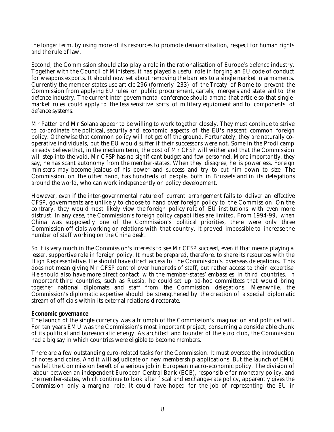the longer term, by using more of its resources to promote democratisation, respect for human rights and the rule of law.

Second, the Commission should also play a role in the rationalisation of Europe's defence industry. Together with the Council of Ministers, it has played a useful role in forging an EU code of conduct for weapons exports. It should now set about removing the barriers to a single market in armaments. Currently the member-states use article 296 (formerly 233) of the Treaty of Rome to prevent the Commission from applying EU rules on public procurement, cartels, mergers and state aid to the defence industry. The current inter-governmental conference should amend that article so that singlemarket rules could apply to the less sensitive sorts of military equipment and to components of defence systems.

Mr Patten and Mr Solana appear to be willing to work together closely. They must continue to strive to co-ordinate the political, security and economic aspects of the EU's nascent common foreign policy. Otherwise that common policy will not get off the ground. Fortunately, they are naturally cooperative individuals, but the EU would suffer if their successors were not. Some in the Prodi camp already believe that, in the medium term, the post of Mr CFSP will wither and that the Commission will step into the void. Mr CFSP has no significant budget and few personnel. More importantly, they say, he has scant autonomy from the member-states. When they disagree, he is powerless. Foreign ministers may become jealous of his power and success and try to cut him down to size. The Commission, on the other hand, has hundreds of people, both in Brussels and in its delegations around the world, who can work independently on policy development.

However, even if the inter-governmental nature of current arrangement fails to deliver an effective CFSP, governments are unlikely to choose to hand over foreign policy to the Commission. On the contrary, they would most likely view the foreign policy role of EU institutions with even more distrust. In any case, the Commission's foreign policy capabilities are limited. From 1994-99, when China was supposedly one of the Commission's political priorities, there were only three Commission officials working on relations with that country. It proved impossible to increase the number of staff working on the China desk.

So it is very much in the Commission's interests to see Mr CFSP succeed, even if that means playing a lesser, supportive role in foreign policy. It must be prepared, therefore, to share its resources with the High Representative. He should have direct access to the Commission's overseas delegations. This does not mean giving Mr CFSP control over hundreds of staff, but rather access to their expertise. He should also have more direct contact with the member-states' embassies in third countries. In important third countries, such as Russia, he could set up ad-hoc committees that would bring together national diplomats and staff from the Commission delegations. Meanwhile, the Commission's diplomatic expertise should be strengthened by the creation of a special diplomatic stream of officials within its external relations directorate.

## **Economic governance**

The launch of the single currency was a triumph of the Commission's imagination and political will. For ten years EMU was the Commission's most important project, consuming a considerable chunk of its political and bureaucratic energy. As architect and founder of the euro club, the Commission had a big say in which countries were eligible to become members.

There are a few outstanding euro-related tasks for the Commission. It must oversee the introduction of notes and coins. And it will adjudicate on new membership applications. But the launch of EMU has left the Commission bereft of a serious job in European macro-economic policy. The division of labour between an independent European Central Bank (ECB), responsible for monetary policy, and the member-states, which continue to look after fiscal and exchange-rate policy, apparently gives the Commission only a marginal role. It could have hoped for the job of representing the EU in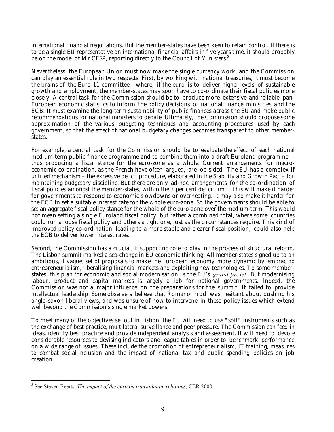international financial negotiations. But the member-states have been keen to retain control. If there is to be a single EU representative on international financial affairs in five years time, it should probably be on the model of Mr CFSP, reporting directly to the Council of Ministers.<sup>5</sup>

Nevertheless, the European Union must now make the single currency work, and the Commission can play an essential role in two respects. First, by working with national treasuries, it must become the brains of the Euro-11 committee – where, if the euro is to deliver higher levels of sustainable growth and employment, the member-states may soon have to co-ordinate their fiscal policies more closely. A central task for the Commission should be to produce more extensive and reliable pan-European economic statistics to inform the policy decisions of national finance ministries and the ECB. It must examine the long-term sustainability of public finances across the EU and make public recommendations for national ministers to debate. Ultimately, the Commission should propose some approximation of the various budgeting techniques and accounting procedures used by each government, so that the effect of national budgetary changes becomes transparent to other memberstates.

For example, a central task for the Commission should be to evaluate the effect of each national medium-term public finance programme and to combine them into a draft Euroland programme – thus producing a fiscal stance for the euro-zone as a whole. Current arrangements for macroeconomic co-ordination, as the French have often argued, are lop-sided. The EU has a complex if untried mechanism – the excessive deficit procedure, elaborated in the Stability and Growth Pact – for maintaining budgetary discipline. But there are only ad-hoc arrangements for the co-ordination of fiscal policies amongst the member-states, within the 3 per cent deficit limit. This will make it harder for governments to respond to economic slowdowns or overheating. It may also make it harder for the ECB to set a suitable interest rate for the whole euro-zone. So the governments should be able to set an aggregate fiscal policy stance for the whole of the euro-zone over the medium-term. This would not mean setting a single Euroland fiscal policy, but rather a combined total, where some countries could run a loose fiscal policy and others a tight one, just as the circumstances require. This kind of improved policy co-ordination, leading to a more stable and clearer fiscal position, could also help the ECB to deliver lower interest rates.

Second, the Commission has a crucial, if supporting role to play in the process of structural reform. The Lisbon summit marked a sea-change in EU economic thinking. All member-states signed up to an ambitious, if vague, set of proposals to make the European economy more dynamic by embracing entrepreneurialism, liberalising financial markets and exploiting new technologies. To some memberstates, this plan for economic and social modernisation is the EU's *grand projet*. But modernising labour, product and capital markets is largely a job for national governments. Indeed, the Commission was not a major influence on the preparations for the summit. It failed to provide intellectual leadership. Some observers believe that Romano Prodi was hesitant about pushing his anglo-saxon liberal views, and was unsure of how to intervene in these policy issues which extend well beyond the Commission's single market powers.

To meet many of the objectives set out in Lisbon, the EU will need to use "soft" instruments such as the exchange of best practice, multilateral surveillance and peer pressure. The Commission can feed in ideas, identify best practice and provide independent analysis and assessment. It will need to devote considerable resources to devising indicators and league tables in order to benchmark performance on a wide range of issues. These include the promotion of entrepreneurialism, IT training, measures to combat social inclusion and the impact of national tax and public spending policies on job creation.

<sup>5</sup> See Steven Everts, *The impact of the euro on transatlantic relations*, CER 2000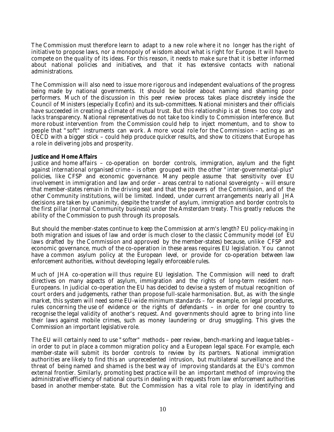The Commission must therefore learn to adapt to a new role where it no longer has the right of initiative to propose laws, nor a monopoly of wisdom about what is right for Europe. It will have to compete on the quality of its ideas. For this reason, it needs to make sure that it is better informed about national policies and initiatives, and that it has extensive contacts with national administrations.

The Commission will also need to issue more rigorous and independent evaluations of the progress being made by national governments. It should be bolder about naming and shaming poor performers. Much of the discussion in this peer review process takes place discretely inside the Council of Ministers (especially Ecofin) and its sub-committees. National ministers and their officials have succeeded in creating a climate of mutual trust. But this relationship is at times too cosy and lacks transparency. National representatives do not take too kindly to Commission interference. But more robust intervention from the Commission could help to inject momentum, and to show to people that "soft" instruments can work. A more vocal role for the Commission – acting as an OECD with a bigger stick – could help produce quicker results, and show to citizens that Europe has a role in delivering jobs and prosperity.

# **Justice and Home Affairs**

Justice and home affairs – co-operation on border controls, immigration, asylum and the fight against international organised crime – is often grouped with the other "inter-governmental-plus" policies, like CFSP and economic governance. Many people assume that sensitivity over EU involvement in immigration and law and order – areas central to national sovereignty – will ensure that member-states remain in the driving seat and that the powers of the Commission, and of the other Community institutions, will be limited. Indeed, under current arrangements nearly all JHA decisions are taken by unanimity, despite the transfer of asylum, immigration and border controls to the first pillar (normal Community business) under the Amsterdam treaty. This greatly reduces the ability of the Commission to push through its proposals.

But should the member-states continue to keep the Commission at arm's length? EU policy-making in both migration and issues of law and order is much closer to the classic Community model (of EU laws drafted by the Commission and approved by the member-states) because, unlike CFSP and economic governance, much of the co-operation in these areas requires EU legislation. You cannot have a common asylum policy at the European level, or provide for co-operation between law enforcement authorities, without developing legally enforceable rules.

Much of JHA co-operation will thus require EU legislation. The Commission will need to draft directives on many aspects of asylum, immigration and the rights of long-term resident non-Europeans. In judicial co-operation the EU has decided to devise a system of mutual recognition of court orders and judgements, rather than propose full-scale harmonisation. But, as with the single market, this system will need some EU-wide minimum standards – for example, on legal procedures, rules concerning the use of evidence or the rights of defendants – in order for one country to recognise the legal validity of another's request. And governments should agree to bring into line their laws against mobile crimes, such as money laundering or drug smuggling. This gives the Commission an important legislative role.

The EU will certainly need to use "softer" methods – peer review, bench-marking and league tables – in order to put in place a common migration policy and a European legal space. For example, each member-state will submit its border controls to review by its partners. National immigration authorities are likely to find this an unprecedented intrusion, but multilateral surveillance and the threat of being named and shamed is the best way of improving standards at the EU's common external frontier. Similarly, promoting best practice will be an important method of improving the administrative efficiency of national courts in dealing with requests from law enforcement authorities based in another member-state. But the Commission has a vital role to play in identifying and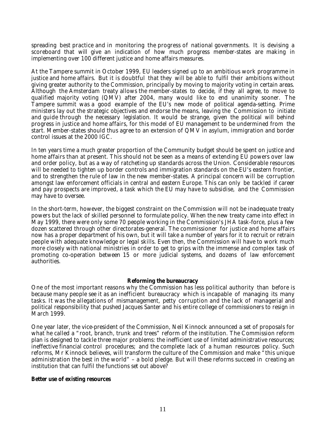spreading best practice and in monitoring the progress of national governments. It is devising a scoreboard that will give an indication of how much progress member-states are making in implementing over 100 different justice and home affairs measures.

At the Tampere summit in October 1999, EU leaders signed up to an ambitious work programme in justice and home affairs. But it is doubtful that they will be able to fulfil their ambitions without giving greater authority to the Commission, principally by moving to majority voting in certain areas. Although the Amsterdam treaty allows the member-states to decide, if they all agree, to move to qualified majority voting (QMV) after 2004, many would like to end unanimity sooner. The Tampere summit was a good example of the EU's new mode of political agenda-setting. Prime ministers lay out the strategic objectives and endorse the means, leaving the Commission to initiate and guide through the necessary legislation. It would be strange, given the political will behind progress in justice and home affairs, for this model of EU management to be undermined from the start. Member-states should thus agree to an extension of QMV in asylum, immigration and border control issues at the 2000 IGC.

In ten years time a much greater proportion of the Community budget should be spent on justice and home affairs than at present. This should not be seen as a means of extending EU powers over law and order policy, but as a way of ratcheting up standards across the Union. Considerable resources will be needed to tighten up border controls and immigration standards on the EU's eastern frontier, and to strengthen the rule of law in the new member-states. A principal concern will be corruption amongst law enforcement officials in central and eastern Europe. This can only be tackled if career and pay prospects are improved, a task which the EU may have to subsidise, and the Commission may have to oversee.

In the short-term, however, the biggest constraint on the Commission will not be inadequate treaty powers but the lack of skilled personnel to formulate policy. When the new treaty came into effect in May 1999, there were only some 70 people working in the Commission's JHA task-force, plus a few dozen scattered through other directorates-general. The commissioner for justice and home affairs now has a proper department of his own, but it will take a number of years for it to recruit or retrain people with adequate knowledge or legal skills. Even then, the Commission will have to work much more closely with national ministries in order to get to grips with the immense and complex task of promoting co-operation between 15 or more judicial systems, and dozens of law enforcement authorities.

## **Reforming the bureaucracy**

One of the most important reasons why the Commission has less political authority than before is because many people see it as an inefficient bureaucracy which is incapable of managing its many tasks. It was the allegations of mismanagement, petty corruption and the lack of managerial and political responsibility that pushed Jacques Santer and his entire college of commissioners to resign in March 1999.

One year later, the vice-president of the Commission, Neil Kinnock announced a set of proposals for what he called a "root, branch, trunk and trees" reform of the institution. The Commission reform plan is designed to tackle three major problems: the inefficient use of limited administrative resources; ineffective financial control procedures; and the complete lack of a human resources policy. Such reforms, Mr Kinnock believes, will transform the culture of the Commission and make "this unique administration the best in the world" – a bold pledge. But will these reforms succeed in creating an institution that can fulfil the functions set out above?

## **Better use of existing resources**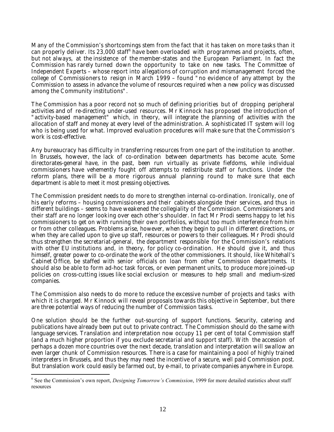Many of the Commission's shortcomings stem from the fact that it has taken on more tasks than it can properly deliver. Its 23,000 staff<sup>6</sup> have been overloaded with programmes and projects, often, but not always, at the insistence of the member-states and the European Parliament. In fact the Commission has rarely turned down the opportunity to take on new tasks. The Committee of Independent Experts – whose report into allegations of corruption and mismanagement forced the college of Commissioners to resign in March 1999 – found "no evidence of any attempt by the Commission to assess in advance the volume of resources required when a new policy was discussed among the Community institutions".

The Commission has a poor record not so much of defining priorities but of dropping peripheral activities and of re-directing under-used resources. Mr Kinnock has proposed the introduction of "activity-based management" which, in theory, will integrate the planning of activities with the allocation of staff and money at every level of the administration. A sophisticated IT system will log who is being used for what. Improved evaluation procedures will make sure that the Commission's work is cost-effective.

Any bureaucracy has difficulty in transferring resources from one part of the institution to another. In Brussels, however, the lack of co-ordination between departments has become acute. Some directorates-general have, in the past, been run virtually as private fiefdoms, while individual commissioners have vehemently fought off attempts to redistribute staff or functions. Under the reform plans, there will be a more rigorous annual planning round to make sure that each department is able to meet it most pressing objectives.

The Commission president needs to do more to strengthen internal co-ordination. Ironically, one of his early reforms – housing commissioners and their cabinets alongside their services, and thus in different buildings – seems to have weakened the collegiality of the Commission. Commissioners and their staff are no longer looking over each other's shoulder. In fact Mr Prodi seems happy to let his commissioners to get on with running their own portfolios, without too much interference from him or from other colleagues. Problems arise, however, when they begin to pull in different directions, or when they are called upon to give up staff, resources or powers to their colleagues. Mr Prodi should thus strengthen the secretariat-general, the department responsible for the Commission's relations with other EU institutions and, in theory, for policy co-ordination. He should give it, and thus himself, greater power to co-ordinate the work of the other commissioners. It should, like Whitehall's Cabinet Office, be staffed with senior officials on loan from other Commission departments. It should also be able to form ad-hoc task forces, or even permanent units, to produce more joined-up policies on cross-cutting issues like social exclusion or measures to help small and medium-sized companies.

The Commission also needs to do more to reduce the excessive number of projects and tasks with which it is charged. Mr Kinnock will reveal proposals towards this objective in September, but there are three potential ways of reducing the number of Commission tasks.

One solution should be the further out-sourcing of support functions. Security, catering and publications have already been put out to private contract. The Commission should do the same with language services. Translation and interpretation now occupy 11 per cent of total Commission staff (and a much higher proportion if you exclude secretarial and support staff). With the accession of perhaps a dozen more countries over the next decade, translation and interpretation will swallow an even larger chunk of Commission resources. There is a case for maintaining a pool of highly trained interpreters in Brussels, and thus they may need the incentive of a secure, well paid Commission post. But translation work could easily be farmed out, by e-mail, to private companies anywhere in Europe.

<sup>6</sup> See the Commission's own report, *Designing Tomorrow's Commission*, 1999 for more detailed statistics about staff resources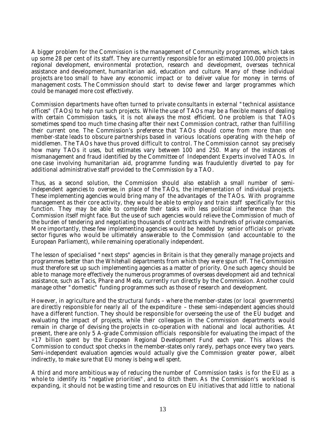A bigger problem for the Commission is the management of Community programmes, which takes up some 28 per cent of its staff. They are currently responsible for an estimated 100,000 projects in regional development, environmental protection, research and development, overseas technical assistance and development, humanitarian aid, education and culture. Many of these individual projects are too small to have any economic impact or to deliver value for money in terms of management costs. The Commission should start to devise fewer and larger programmes which could be managed more cost effectively.

Commission departments have often turned to private consultants in external "technical assistance offices" (TAOs) to help run such projects. While the use of TAOs may be a flexible means of dealing with certain Commission tasks, it is not always the most efficient. One problem is that TAOs sometimes spend too much time chasing after their next Commission contract, rather than fulfilling their current one. The Commission's preference that TAOs should come from more than one member-state leads to obscure partnerships based in various locations operating with the help of middlemen. The TAOs have thus proved difficult to control. The Commission cannot say precisely how many TAOs it uses, but estimates vary between 100 and 250. Many of the instances of mismanagement and fraud identified by the Committee of Independent Experts involved TAOs. In one case involving humanitarian aid, programme funding was fraudulently diverted to pay for additional administrative staff provided to the Commission by a TAO.

Thus, as a second solution, the Commission should also establish a small number of semiindependent agencies to oversee, in place of the TAOs, the implementation of individual projects. These implementing agencies would bring many of the advantages of the TAOs. With programme management as their core activity, they would be able to employ and train staff specifically for this function. They may be able to complete their tasks with less political interference than the Commission itself might face. But the use of such agencies would relieve the Commission of much of the burden of tendering and negotiating thousands of contracts with hundreds of private companies. More importantly, these few implementing agencies would be headed by senior officials or private sector figures who would be ultimately answerable to the Commission (and accountable to the European Parliament), while remaining operationally independent.

The lesson of specialised "next steps" agencies in Britain is that they generally manage projects and programmes better than the Whitehall departments from which they were spun off. The Commission must therefore set up such implementing agencies as a matter of priority. One such agency should be able to manage more effectively the numerous programmes of overseas development aid and technical assistance, such as Tacis, Phare and Meda, currently run directly by the Commission. Another could manage other "domestic" funding programmes such as those of research and development.

However, in agriculture and the structural funds – where the member-states (or local governments) are directly responsible for nearly all of the expenditure – these semi-independent agencies should have a different function. They should be responsible for overseeing the use of the EU budget and evaluating the impact of projects, while their colleagues in the Commission departments would remain in charge of devising the projects in co-operation with national and local authorities. At present, there are only 5 A-grade Commission officials responsible for evaluating the impact of the  $\approx$  17 billion spent by the European Regional Development Fund each year. This allows the Commission to conduct spot checks in the member-states only rarely, perhaps once every two years. Semi-independent evaluation agencies would actually give the Commission greater power, albeit indirectly, to make sure that EU money is being well spent.

A third and more ambitious way of reducing the number of Commission tasks is for the EU as a whole to identify its "negative priorities", and to ditch them. As the Commission's workload is expanding, it should not be wasting time and resources on EU initiatives that add little to national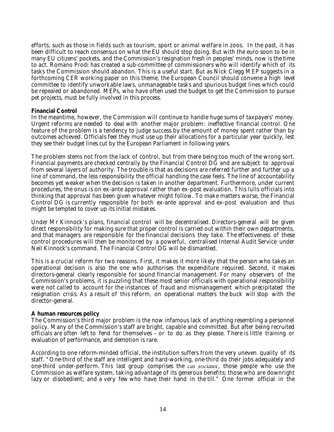efforts, such as those in fields such as tourism, sport or animal welfare in zoos. In the past, it has been difficult to reach consensus on what the EU should stop doing. But with the euro soon to be in many EU citizens' pockets, and the Commission's resignation fresh in peoples' minds, now is the time to act. Romano Prodi has created a sub-committee of commissioners who will identify which of its tasks the Commission should abandon. This is a useful start. But as Nick Clegg MEP suggests in a forthcoming CER working paper on this theme, the European Council should convene a high level committee to identify unworkable laws, unmanageable tasks and spurious budget lines which could be repealed or abandoned. MEPs, who have often used the budget to get the Commission to pursue pet projects, must be fully involved in this process.

# **Financial Control**

In the meantime, however, the Commission will continue to handle huge sums of taxpayers' money. Urgent reforms are needed to deal with another major problem: ineffective financial control. One feature of the problem is a tendency to judge success by the amount of money spent rather than by outcomes achieved. Officials feel they must use up their allocations for a particular year quickly, lest they see their budget lines cut by the European Parliament in following years.

The problem stems not from the lack of control, but from there being too much of the wrong sort. Financial payments are checked centrally by the Financial Control DG and are subject to approval from several layers of authority. The trouble is that as decisions are referred further and further up a line of command, the less responsibility the official handling the case feels. The line of accountability becomes yet weaker when the decision is taken in another department. Furthermore, under current procedures, the onus is on ex-ante approval rather than ex-post evaluation. This lulls officials into thinking that approval has been given whatever might follow. To make matters worse, the Financial Control DG is currently responsible for both ex-ante approval and ex-post evaluation and thus might be tempted to cover up its initial mistakes.

Under Mr Kinnock's plans, financial control will be decentralised. Directors-general will be given direct responsibility for making sure that proper control is carried out within their own departments, and that managers are responsible for the financial decisions they take. The effectiveness of these control procedures will then be monitored by a powerful, centralised Internal Audit Service under Neil Kinnock's command. The Financial Control DG will be dismantled.

This is a crucial reform for two reasons. First, it makes it more likely that the person who takes an operational decision is also the one who authorises the expenditure required. Second, it makes directors-general clearly responsible for sound financial management. For many observers of the Commission's problems, it is puzzling that these most senior officials with operational responsibility were not called to account for the instances of fraud and mismanagement which precipitated the resignation crisis. As a result of this reform, on operational matters the buck will stop with the director-general.

## **A human resources policy**

The Commission's third major problem is the now infamous lack of anything resembling a personnel policy. Many of the Commission's staff are bright, capable and committed. But after being recruited officials are often left to fend for themselves – or to do as they please. There is little training or evaluation of performance, and demotion is rare.

According to one reform-minded official, the institution suffers from the very uneven quality of its staff. "One-third of the staff are intelligent and hard-working, one-third do their jobs adequately and one-third under-perform. This last group comprises the *cas sociaux*, those people who use the Commission as welfare system, taking advantage of its generous benefits; those who are downright lazy or disobedient; and a very few who have their hand in the till." One former official in the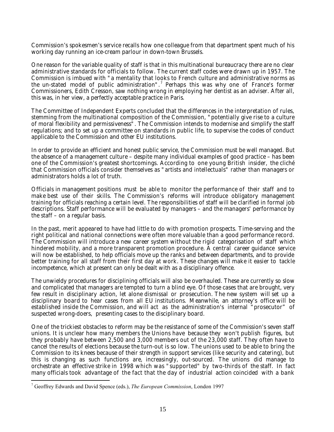Commission's spokesmen's service recalls how one colleague from that department spent much of his working day running an ice-cream parlour in down-town Brussels.

One reason for the variable quality of staff is that in this multinational bureaucracy there are no clear administrative standards for officials to follow. The current staff codes were drawn up in 1957. The Commission is imbued with "a mentality that looks to French culture and administrative norms as the un-stated model of public administration".<sup>7</sup> Perhaps this was why one of France's former Commissioners, Edith Cresson, saw nothing wrong in employing her dentist as an adviser. After all, this was, in her view, a perfectly acceptable practice in Paris.

The Committee of Independent Experts concluded that the differences in the interpretation of rules, stemming from the multinational composition of the Commission, "potentially give rise to a culture of moral flexibility and permissiveness". The Commission intends to modernise and simplify the staff regulations; and to set up a committee on standards in public life, to supervise the codes of conduct applicable to the Commission and other EU institutions.

In order to provide an efficient and honest public service, the Commission must be well managed. But the absence of a management culture – despite many individual examples of good practice – has been one of the Commission's greatest shortcomings. According to one young British insider, the cliché that Commission officials consider themselves as "artists and intellectuals" rather than managers or administrators holds a lot of truth.

Officials in management positions must be able to monitor the performance of their staff and to make best use of their skills. The Commission's reforms will introduce obligatory management training for officials reaching a certain level. The responsibilities of staff will be clarified in formal job descriptions. Staff performance will be evaluated by managers – and the managers' performance by the staff – on a regular basis.

In the past, merit appeared to have had little to do with promotion prospects. Time-serving and the right political and national connections were often more valuable than a good performance record. The Commission will introduce a new career system without the rigid categorisation of staff which hindered mobility, and a more transparent promotion procedure. A central career guidance service will now be established, to help officials move up the ranks and between departments, and to provide better training for all staff from their first day at work. These changes will make it easier to tackle incompetence, which at present can only be dealt with as a disciplinary offence.

The unwieldy procedures for disciplining officials will also be overhauled. These are currently so slow and complicated that managers are tempted to turn a blind eye. Of those cases that are brought, very few result in disciplinary action, let alone dismissal or prosecution. The new system will set up a disciplinary board to hear cases from all EU institutions. Meanwhile, an attorney's office will be established inside the Commission, and will act as the administration's internal "prosecutor" of suspected wrong-doers, presenting cases to the disciplinary board.

One of the trickiest obstacles to reform may be the resistance of some of the Commission's seven staff unions. It is unclear how many members the Unions have because they won't publish figures, but they probably have between 2,500 and 3,000 members out of the 23,000 staff. They often have to cancel the results of elections because the turn-out is so low. The unions used to be able to bring the Commission to its knees because of their strength in support services (like security and catering), but this is changing as such functions are, increasingly, out-sourced. The unions did manage to orchestrate an effective strike in 1998 which was "supported" by two-thirds of the staff. In fact many officials took advantage of the fact that the day of industrial action coincided with a bank

<sup>7</sup> Geoffrey Edwards and David Spence (eds.), *The European Commission*, London 1997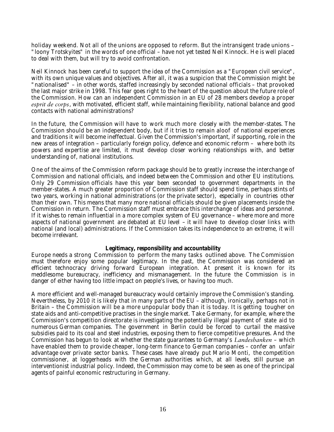holiday weekend. Not all of the unions are opposed to reform. But the intransigent trade unions – "loony Trotskyites" in the words of one official – have not yet tested Neil Kinnock. He is well placed to deal with them, but will try to avoid confrontation.

Neil Kinnock has been careful to support the idea of the Commission as a "European civil service", with its own unique values and objectives. After all, it was a suspicion that the Commission might be "nationalised" – in other words, staffed increasingly by seconded national officials – that provoked the last major strike in 1998. This fear goes right to the heart of the question about the future role of the Commission. How can an independent Commission in an EU of 28 members develop a proper *esprit de corps*, with motivated, efficient staff, while maintaining flexibility, national balance and good contacts with national administrations?

In the future, the Commission will have to work much more closely with the member-states. The Commission should be an independent body, but if it tries to remain aloof of national experiences and traditions it will become ineffectual. Given the Commission's important, if supporting, role in the new areas of integration – particularly foreign policy, defence and economic reform – where both its powers and expertise are limited, it must develop closer working relationships with, and better understanding of, national institutions.

One of the aims of the Commission reform package should be to greatly increase the interchange of Commission and national officials, and indeed between the Commission and other EU institutions. Only 29 Commission officials have this year been seconded to government departments in the member-states. A much greater proportion of Commission staff should spend time, perhaps stints of two years, working in national administrations (or the private sector), especially in countries other than their own. This means that many more national officials should be given placements inside the Commission in return. The Commission staff must embrace this interchange of ideas and personnel. If it wishes to remain influential in a more complex system of EU governance – where more and more aspects of national government are debated at EU level – it will have to develop closer links with national (and local) administrations. If the Commission takes its independence to an extreme, it will become irrelevant.

## **Legitimacy, responsibility and accountability**

Europe needs a strong Commission to perform the many tasks outlined above. The Commission must therefore enjoy some popular legitimacy. In the past, the Commission was considered an efficient technocracy driving forward European integration. At present it is known for its meddlesome bureaucracy, inefficiency and mismanagement. In the future the Commission is in danger of either having too little impact on people's lives, or having too much.

A more efficient and well-managed bureaucracy would certainly improve the Commission's standing. Nevertheless, by 2010 it is likely that in many parts of the EU – although, ironically, perhaps not in Britain – the Commission will be a more unpopular body than it is today. It is getting tougher on state aids and anti-competitive practises in the single market. Take Germany, for example, where the Commission's competition directorate is investigating the potentially illegal payment of state aid to numerous German companies. The government in Berlin could be forced to curtail the massive subsidies paid to its coal and steel industries, exposing them to fierce competitive pressures. And the Commission has begun to look at whether the state guarantees to Germany's *Landesbanken* – which have enabled them to provide cheaper, long-term finance to German companies – confer an unfair advantage over private sector banks. These cases have already put Mario Monti, the competition commissioner, at loggerheads with the German authorities which, at all levels, still pursue an interventionist industrial policy. Indeed, the Commission may come to be seen as one of the principal agents of painful economic restructuring in Germany.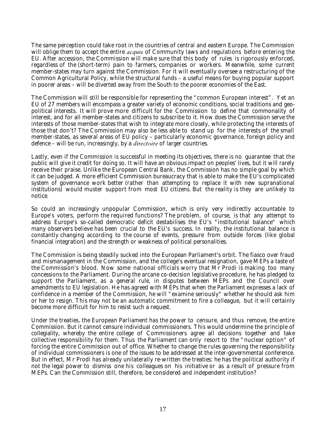The same perception could take root in the countries of central and eastern Europe. The Commission will oblige them to accept the entire *acquis* of Community laws and regulations before entering the EU. After accession, the Commission will make sure that this body of rules is rigorously enforced, regardless of the (short-term) pain to farmers, companies or workers. Meanwhile, some current member-states may turn against the Commission. For it will eventually oversee a restructuring of the Common Agricultural Policy, while the structural funds – a useful means for buying popular support in poorer areas – will be diverted away from the South to the poorer economies of the East.

The Commission will still be responsible for representing the "common European interest". Yet an EU of 27 members will encompass a greater variety of economic conditions, social traditions and geopolitical interests. It will prove more difficult for the Commission to define that commonality of interest, and for all member-states and citizens to subscribe to it. How does the Commission serve the interests of those member-states that wish to integrate more closely, while protecting the interests of those that don't? The Commission may also be less able to stand up for the interests of the small member-states, as several areas of EU policy – particularly economic governance, foreign policy and defence – will be run, increasingly, by a *directoire* of larger countries.

Lastly, even if the Commission is successful in meeting its objectives, there is no guarantee that the public will give it credit for doing so. It will have an obvious impact on peoples' lives, but it will rarely receive their praise. Unlike the European Central Bank, the Commission has no simple goal by which it can be judged. A more efficient Commission bureaucracy that is able to make the EU's complicated system of governance work better (rather than attempting to replace it with new supranational institutions) would muster support from most EU citizens. But the reality is they are unlikely to notice.

So could an increasingly unpopular Commission, which is only very indirectly accountable to Europe's voters, perform the required functions? The problem, of course, is that any attempt to address Europe's so-called democratic deficit destabilises the EU's "institutional balance" which many observers believe has been crucial to the EU's success. In reality, the institutional balance is constantly changing according to the course of events, pressure from outside forces (like global financial integration) and the strength or weakness of political personalities.

The Commission is being steadily sucked into the European Parliament's orbit. The fiasco over fraud and mismanagement in the Commission, and the college's eventual resignation, gave MEPs a taste of the Commission's blood. Now some national officials worry that Mr Prodi is making too many concessions to the Parliament. During the arcane co-decision legislative procedure, he has pledged to support the Parliament, as a general rule, in disputes between MEPs and the Council over amendments to EU legislation. He has agreed with MEPs that when the Parliament expresses a lack of confidence in a member of the Commission, he will "examine seriously" whether he should ask him or her to resign. This may not be an automatic commitment to fire a colleague, but it will certainly become more difficult for him to resist such a request.

Under the treaties, the European Parliament has the power to censure, and thus remove, the entire Commission. But it cannot censure individual commissioners. This would undermine the principle of collegiality, whereby the entire college of Commissioners agree all decisions together and take collective responsibility for them. Thus the Parliament can only resort to the "nuclear option" of forcing the entire Commission out of office. Whether to change the rules governing the responsibility of individual commissioners is one of the issues to be addressed at the inter-governmental conference. But in effect, Mr Prodi has already unilaterally re-written the treaties: he has the political authority if not the legal power to dismiss one his colleagues on his initiative or as a result of pressure from MEPs. Can the Commission still, therefore, be considered and independent institution?